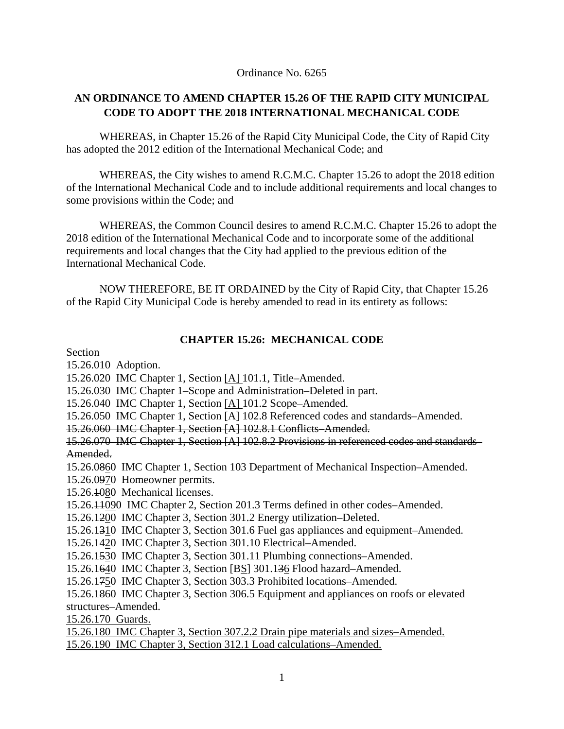#### Ordinance No. 6265

# **AN ORDINANCE TO AMEND CHAPTER 15.26 OF THE RAPID CITY MUNICIPAL CODE TO ADOPT THE 2018 INTERNATIONAL MECHANICAL CODE**

 WHEREAS, in Chapter 15.26 of the Rapid City Municipal Code, the City of Rapid City has adopted the 2012 edition of the International Mechanical Code; and

 WHEREAS, the City wishes to amend R.C.M.C. Chapter 15.26 to adopt the 2018 edition of the International Mechanical Code and to include additional requirements and local changes to some provisions within the Code; and

 WHEREAS, the Common Council desires to amend R.C.M.C. Chapter 15.26 to adopt the 2018 edition of the International Mechanical Code and to incorporate some of the additional requirements and local changes that the City had applied to the previous edition of the International Mechanical Code.

 NOW THEREFORE, BE IT ORDAINED by the City of Rapid City, that Chapter 15.26 of the Rapid City Municipal Code is hereby amended to read in its entirety as follows:

### **CHAPTER 15.26: MECHANICAL CODE**

Section

15.26.010 Adoption.

15.26.020 IMC Chapter 1, Section [A] 101.1, Title–Amended.

15.26.030 IMC Chapter 1–Scope and Administration–Deleted in part.

15.26.040 IMC Chapter 1, Section [A] 101.2 Scope–Amended.

15.26.050 IMC Chapter 1, Section [A] 102.8 Referenced codes and standards–Amended.

15.26.060 IMC Chapter 1, Section [A] 102.8.1 Conflicts–Amended.

15.26.070 IMC Chapter 1, Section [A] 102.8.2 Provisions in referenced codes and standards– Amended.

15.26.0860 IMC Chapter 1, Section 103 Department of Mechanical Inspection–Amended.

15.26.0970 Homeowner permits.

15.26.1080 Mechanical licenses.

15.26.11090 IMC Chapter 2, Section 201.3 Terms defined in other codes–Amended.

15.26.1200 IMC Chapter 3, Section 301.2 Energy utilization–Deleted.

15.26.1310 IMC Chapter 3, Section 301.6 Fuel gas appliances and equipment–Amended.

15.26.1420 IMC Chapter 3, Section 301.10 Electrical–Amended.

15.26.1530 IMC Chapter 3, Section 301.11 Plumbing connections–Amended.

15.26.1640 IMC Chapter 3, Section [BS] 301.136 Flood hazard–Amended.

15.26.1750 IMC Chapter 3, Section 303.3 Prohibited locations–Amended.

15.26.1860 IMC Chapter 3, Section 306.5 Equipment and appliances on roofs or elevated structures–Amended.

15.26.170 Guards.

15.26.180 IMC Chapter 3, Section 307.2.2 Drain pipe materials and sizes–Amended. 15.26.190 IMC Chapter 3, Section 312.1 Load calculations–Amended.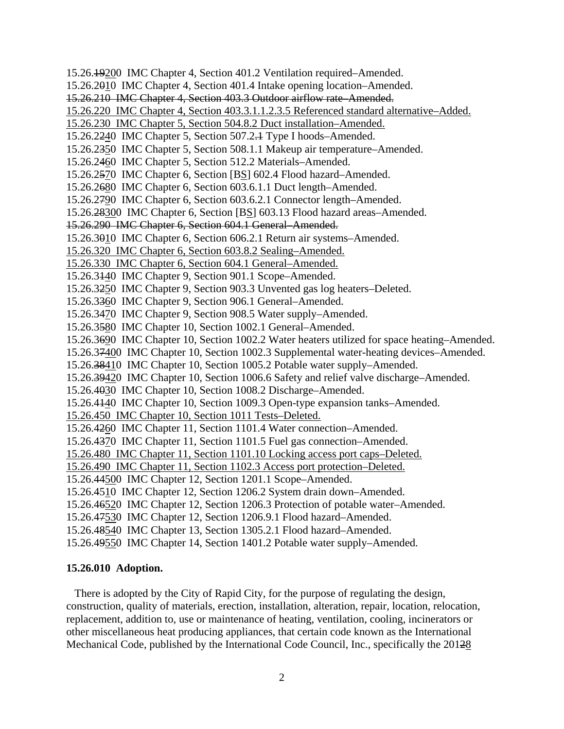15.26.19200IMC Chapter 4, Section 401.2 Ventilation required–Amended. 15.26.2010 IMC Chapter 4, Section 401.4 Intake opening location–Amended. 15.26.210 IMC Chapter 4, Section 403.3 Outdoor airflow rate–Amended. 15.26.220 IMC Chapter 4, Section 403.3.1.1.2.3.5 Referenced standard alternative–Added. 15.26.230 IMC Chapter 5, Section 504.8.2 Duct installation–Amended. 15.26.2240 IMC Chapter 5, Section 507.2.1 Type I hoods–Amended. 15.26.2350 IMC Chapter 5, Section 508.1.1 Makeup air temperature–Amended. 15.26.2460IMC Chapter 5, Section 512.2 Materials–Amended. 15.26.2570 IMC Chapter 6, Section [BS] 602.4 Flood hazard–Amended. 15.26.2680 IMC Chapter 6, Section 603.6.1.1 Duct length–Amended. 15.26.2790 IMC Chapter 6, Section 603.6.2.1 Connector length–Amended. 15.26.28300 IMC Chapter 6, Section [BS] 603.13 Flood hazard areas–Amended. 15.26.290 IMC Chapter 6, Section 604.1 General–Amended. 15.26.3010 IMC Chapter 6, Section 606.2.1 Return air systems–Amended. 15.26.320 IMC Chapter 6, Section 603.8.2 Sealing–Amended. 15.26.330 IMC Chapter 6, Section 604.1 General–Amended. 15.26.3140 IMC Chapter 9, Section 901.1 Scope–Amended. 15.26.3250 IMC Chapter 9, Section 903.3 Unvented gas log heaters–Deleted. 15.26.3360 IMC Chapter 9, Section 906.1 General–Amended. 15.26.3470 IMC Chapter 9, Section 908.5 Water supply–Amended. 15.26.3580 IMC Chapter 10, Section 1002.1 General–Amended. 15.26.3690 IMC Chapter 10, Section 1002.2 Water heaters utilized for space heating–Amended. 15.26.37400 IMC Chapter 10, Section 1002.3 Supplemental water-heating devices–Amended. 15.26.38410 IMC Chapter 10, Section 1005.2 Potable water supply–Amended. 15.26.39420 IMC Chapter 10, Section 1006.6 Safety and relief valve discharge–Amended. 15.26.4030 IMC Chapter 10, Section 1008.2 Discharge–Amended. 15.26.4140 IMC Chapter 10, Section 1009.3 Open-type expansion tanks–Amended. 15.26.450 IMC Chapter 10, Section 1011 Tests–Deleted. 15.26.4260 IMC Chapter 11, Section 1101.4 Water connection–Amended. 15.26.4370 IMC Chapter 11, Section 1101.5 Fuel gas connection–Amended. 15.26.480 IMC Chapter 11, Section 1101.10 Locking access port caps–Deleted. 15.26.490 IMC Chapter 11, Section 1102.3 Access port protection–Deleted. 15.26.44500 IMC Chapter 12, Section 1201.1 Scope–Amended. 15.26.4510 IMC Chapter 12, Section 1206.2 System drain down–Amended. 15.26.46520 IMC Chapter 12, Section 1206.3 Protection of potable water–Amended. 15.26.47530 IMC Chapter 12, Section 1206.9.1 Flood hazard–Amended. 15.26.48540 IMC Chapter 13, Section 1305.2.1 Flood hazard–Amended. 15.26.49550 IMC Chapter 14, Section 1401.2 Potable water supply–Amended.

#### **15.26.010 Adoption.**

 There is adopted by the City of Rapid City, for the purpose of regulating the design, construction, quality of materials, erection, installation, alteration, repair, location, relocation, replacement, addition to, use or maintenance of heating, ventilation, cooling, incinerators or other miscellaneous heat producing appliances, that certain code known as the International Mechanical Code, published by the International Code Council, Inc., specifically the 20128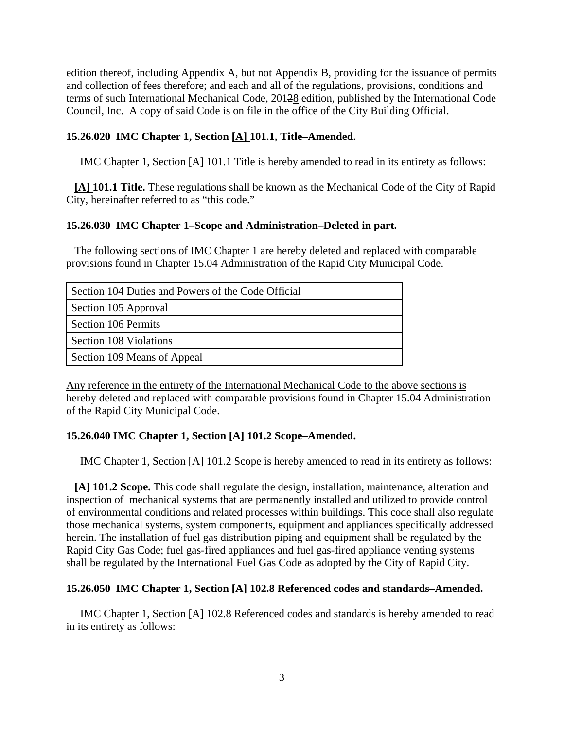edition thereof, including Appendix A, but not Appendix B, providing for the issuance of permits and collection of fees therefore; and each and all of the regulations, provisions, conditions and terms of such International Mechanical Code, 20128 edition, published by the International Code Council, Inc. A copy of said Code is on file in the office of the City Building Official.

# **15.26.020 IMC Chapter 1, Section [A] 101.1, Title–Amended.**

IMC Chapter 1, Section [A] 101.1 Title is hereby amended to read in its entirety as follows:

 **[A] 101.1 Title.** These regulations shall be known as the Mechanical Code of the City of Rapid City, hereinafter referred to as "this code."

### **15.26.030 IMC Chapter 1–Scope and Administration–Deleted in part.**

 The following sections of IMC Chapter 1 are hereby deleted and replaced with comparable provisions found in Chapter 15.04 Administration of the Rapid City Municipal Code.

| Section 104 Duties and Powers of the Code Official |  |
|----------------------------------------------------|--|
| Section 105 Approval                               |  |
| Section 106 Permits                                |  |
| Section 108 Violations                             |  |
| Section 109 Means of Appeal                        |  |

Any reference in the entirety of the International Mechanical Code to the above sections is hereby deleted and replaced with comparable provisions found in Chapter 15.04 Administration of the Rapid City Municipal Code.

# **15.26.040 IMC Chapter 1, Section [A] 101.2 Scope–Amended.**

IMC Chapter 1, Section [A] 101.2 Scope is hereby amended to read in its entirety as follows:

 **[A] 101.2 Scope.** This code shall regulate the design, installation, maintenance, alteration and inspection of mechanical systems that are permanently installed and utilized to provide control of environmental conditions and related processes within buildings. This code shall also regulate those mechanical systems, system components, equipment and appliances specifically addressed herein. The installation of fuel gas distribution piping and equipment shall be regulated by the Rapid City Gas Code; fuel gas-fired appliances and fuel gas-fired appliance venting systems shall be regulated by the International Fuel Gas Code as adopted by the City of Rapid City.

# **15.26.050 IMC Chapter 1, Section [A] 102.8 Referenced codes and standards–Amended.**

 IMC Chapter 1, Section [A] 102.8 Referenced codes and standards is hereby amended to read in its entirety as follows: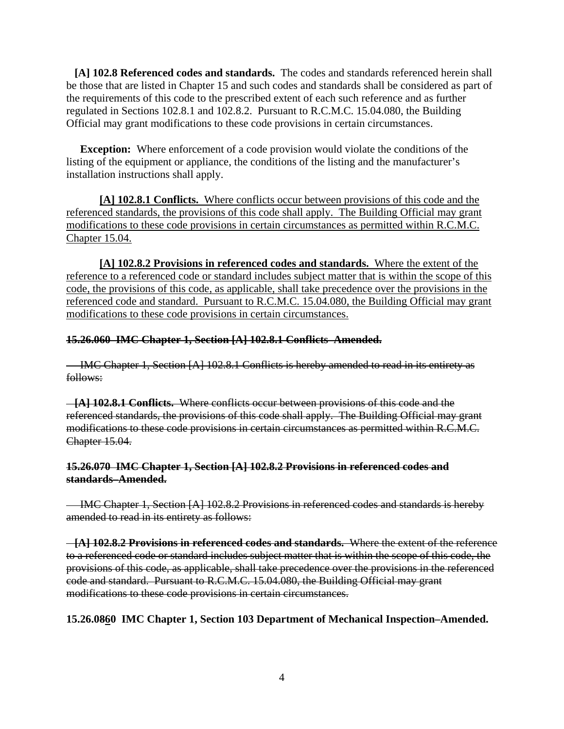**[A] 102.8 Referenced codes and standards.** The codes and standards referenced herein shall be those that are listed in Chapter 15 and such codes and standards shall be considered as part of the requirements of this code to the prescribed extent of each such reference and as further regulated in Sections 102.8.1 and 102.8.2. Pursuant to R.C.M.C. 15.04.080, the Building Official may grant modifications to these code provisions in certain circumstances.

**Exception:** Where enforcement of a code provision would violate the conditions of the listing of the equipment or appliance, the conditions of the listing and the manufacturer's installation instructions shall apply.

**[A] 102.8.1 Conflicts.** Where conflicts occur between provisions of this code and the referenced standards, the provisions of this code shall apply. The Building Official may grant modifications to these code provisions in certain circumstances as permitted within R.C.M.C. Chapter 15.04.

**[A] 102.8.2 Provisions in referenced codes and standards.** Where the extent of the reference to a referenced code or standard includes subject matter that is within the scope of this code, the provisions of this code, as applicable, shall take precedence over the provisions in the referenced code and standard. Pursuant to R.C.M.C. 15.04.080, the Building Official may grant modifications to these code provisions in certain circumstances.

### **15.26.060 IMC Chapter 1, Section [A] 102.8.1 Conflicts–Amended.**

 IMC Chapter 1, Section [A] 102.8.1 Conflicts is hereby amended to read in its entirety as follows:

 **[A] 102.8.1 Conflicts.** Where conflicts occur between provisions of this code and the referenced standards, the provisions of this code shall apply. The Building Official may grant modifications to these code provisions in certain circumstances as permitted within R.C.M.C. Chapter 15.04.

### **15.26.070 IMC Chapter 1, Section [A] 102.8.2 Provisions in referenced codes and standards–Amended.**

 IMC Chapter 1, Section [A] 102.8.2 Provisions in referenced codes and standards is hereby amended to read in its entirety as follows:

 **[A] 102.8.2 Provisions in referenced codes and standards.** Where the extent of the reference to a referenced code or standard includes subject matter that is within the scope of this code, the provisions of this code, as applicable, shall take precedence over the provisions in the referenced code and standard. Pursuant to R.C.M.C. 15.04.080, the Building Official may grant modifications to these code provisions in certain circumstances.

# **15.26.0860 IMC Chapter 1, Section 103 Department of Mechanical Inspection–Amended.**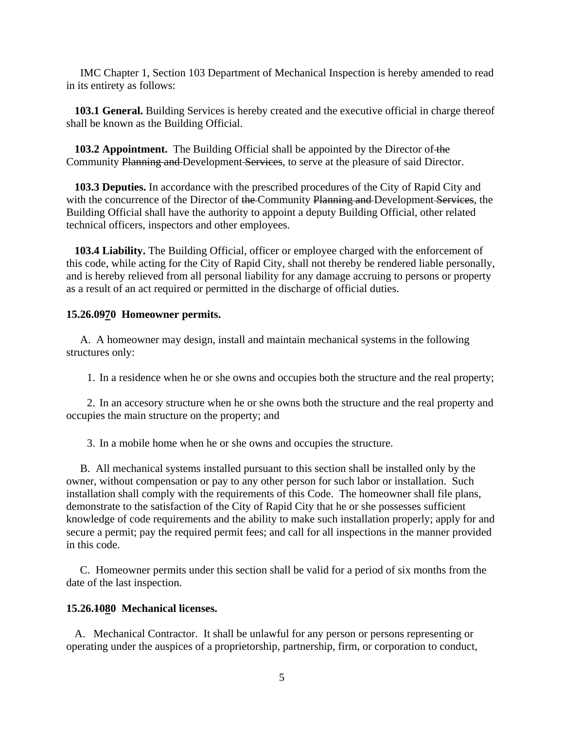IMC Chapter 1, Section 103 Department of Mechanical Inspection is hereby amended to read in its entirety as follows:

 **103.1 General.** Building Services is hereby created and the executive official in charge thereof shall be known as the Building Official.

**103.2 Appointment.** The Building Official shall be appointed by the Director of the Community Planning and Development Services, to serve at the pleasure of said Director.

 **103.3 Deputies.** In accordance with the prescribed procedures of the City of Rapid City and with the concurrence of the Director of the Community Planning and Development Services, the Building Official shall have the authority to appoint a deputy Building Official, other related technical officers, inspectors and other employees.

 **103.4 Liability.** The Building Official, officer or employee charged with the enforcement of this code, while acting for the City of Rapid City, shall not thereby be rendered liable personally, and is hereby relieved from all personal liability for any damage accruing to persons or property as a result of an act required or permitted in the discharge of official duties.

### **15.26.0970 Homeowner permits.**

A. A homeowner may design, install and maintain mechanical systems in the following structures only:

1. In a residence when he or she owns and occupies both the structure and the real property;

2. In an accesory structure when he or she owns both the structure and the real property and occupies the main structure on the property; and

3. In a mobile home when he or she owns and occupies the structure.

 B. All mechanical systems installed pursuant to this section shall be installed only by the owner, without compensation or pay to any other person for such labor or installation. Such installation shall comply with the requirements of this Code. The homeowner shall file plans, demonstrate to the satisfaction of the City of Rapid City that he or she possesses sufficient knowledge of code requirements and the ability to make such installation properly; apply for and secure a permit; pay the required permit fees; and call for all inspections in the manner provided in this code.

 C. Homeowner permits under this section shall be valid for a period of six months from the date of the last inspection.

# **15.26.1080 Mechanical licenses.**

 A. Mechanical Contractor. It shall be unlawful for any person or persons representing or operating under the auspices of a proprietorship, partnership, firm, or corporation to conduct,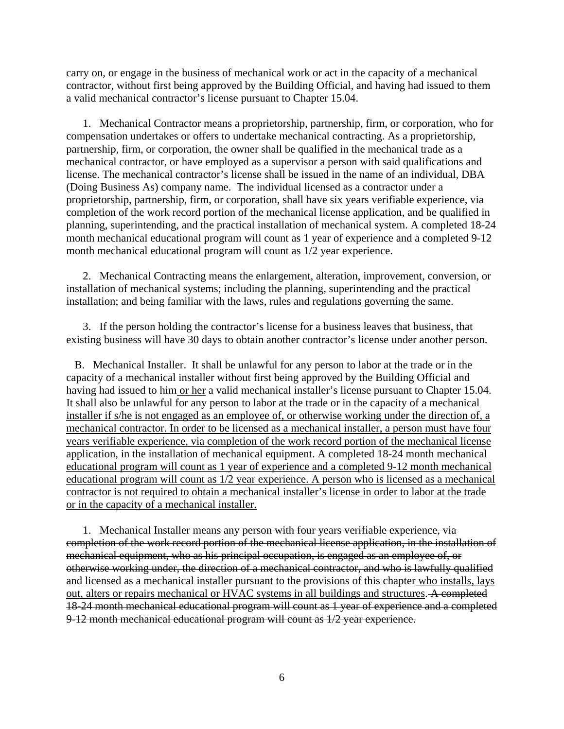carry on, or engage in the business of mechanical work or act in the capacity of a mechanical contractor, without first being approved by the Building Official, and having had issued to them a valid mechanical contractor's license pursuant to Chapter 15.04.

 1. Mechanical Contractor means a proprietorship, partnership, firm, or corporation, who for compensation undertakes or offers to undertake mechanical contracting. As a proprietorship, partnership, firm, or corporation, the owner shall be qualified in the mechanical trade as a mechanical contractor, or have employed as a supervisor a person with said qualifications and license. The mechanical contractor's license shall be issued in the name of an individual, DBA (Doing Business As) company name. The individual licensed as a contractor under a proprietorship, partnership, firm, or corporation, shall have six years verifiable experience, via completion of the work record portion of the mechanical license application, and be qualified in planning, superintending, and the practical installation of mechanical system. A completed 18-24 month mechanical educational program will count as 1 year of experience and a completed 9-12 month mechanical educational program will count as 1/2 year experience.

 2. Mechanical Contracting means the enlargement, alteration, improvement, conversion, or installation of mechanical systems; including the planning, superintending and the practical installation; and being familiar with the laws, rules and regulations governing the same.

 3. If the person holding the contractor's license for a business leaves that business, that existing business will have 30 days to obtain another contractor's license under another person.

 B. Mechanical Installer. It shall be unlawful for any person to labor at the trade or in the capacity of a mechanical installer without first being approved by the Building Official and having had issued to him or her a valid mechanical installer's license pursuant to Chapter 15.04. It shall also be unlawful for any person to labor at the trade or in the capacity of a mechanical installer if s/he is not engaged as an employee of, or otherwise working under the direction of, a mechanical contractor. In order to be licensed as a mechanical installer, a person must have four years verifiable experience, via completion of the work record portion of the mechanical license application, in the installation of mechanical equipment. A completed 18-24 month mechanical educational program will count as 1 year of experience and a completed 9-12 month mechanical educational program will count as 1/2 year experience. A person who is licensed as a mechanical contractor is not required to obtain a mechanical installer's license in order to labor at the trade or in the capacity of a mechanical installer.

1. Mechanical Installer means any person-with four years verifiable experience, via completion of the work record portion of the mechanical license application, in the installation of mechanical equipment, who as his principal occupation, is engaged as an employee of, or otherwise working under, the direction of a mechanical contractor, and who is lawfully qualified and licensed as a mechanical installer pursuant to the provisions of this chapter who installs, lays out, alters or repairs mechanical or HVAC systems in all buildings and structures. A completed 18-24 month mechanical educational program will count as 1 year of experience and a completed 9-12 month mechanical educational program will count as 1/2 year experience.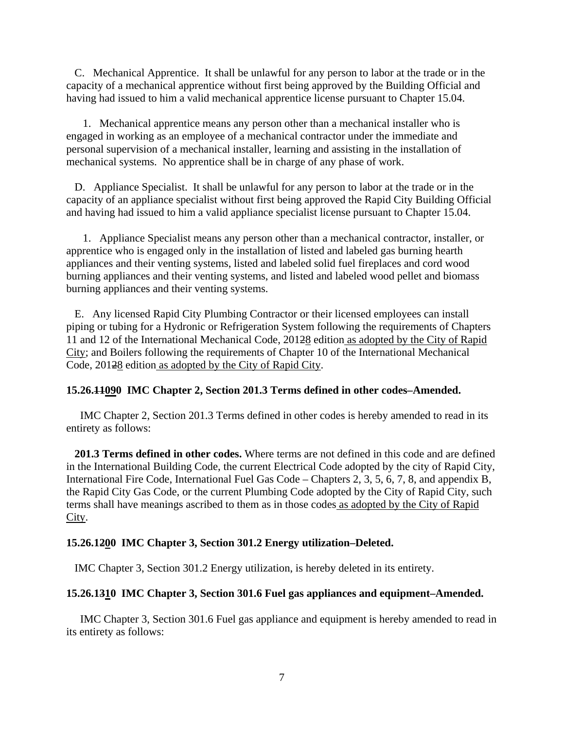C. Mechanical Apprentice. It shall be unlawful for any person to labor at the trade or in the capacity of a mechanical apprentice without first being approved by the Building Official and having had issued to him a valid mechanical apprentice license pursuant to Chapter 15.04.

 1. Mechanical apprentice means any person other than a mechanical installer who is engaged in working as an employee of a mechanical contractor under the immediate and personal supervision of a mechanical installer, learning and assisting in the installation of mechanical systems. No apprentice shall be in charge of any phase of work.

 D. Appliance Specialist. It shall be unlawful for any person to labor at the trade or in the capacity of an appliance specialist without first being approved the Rapid City Building Official and having had issued to him a valid appliance specialist license pursuant to Chapter 15.04.

 1. Appliance Specialist means any person other than a mechanical contractor, installer, or apprentice who is engaged only in the installation of listed and labeled gas burning hearth appliances and their venting systems, listed and labeled solid fuel fireplaces and cord wood burning appliances and their venting systems, and listed and labeled wood pellet and biomass burning appliances and their venting systems.

 E. Any licensed Rapid City Plumbing Contractor or their licensed employees can install piping or tubing for a Hydronic or Refrigeration System following the requirements of Chapters 11 and 12 of the International Mechanical Code, 20128 edition as adopted by the City of Rapid City; and Boilers following the requirements of Chapter 10 of the International Mechanical Code, 20128 edition as adopted by the City of Rapid City.

#### **15.26.11090 IMC Chapter 2, Section 201.3 Terms defined in other codes–Amended.**

 IMC Chapter 2, Section 201.3 Terms defined in other codes is hereby amended to read in its entirety as follows:

 **201.3 Terms defined in other codes.** Where terms are not defined in this code and are defined in the International Building Code, the current Electrical Code adopted by the city of Rapid City, International Fire Code, International Fuel Gas Code – Chapters 2, 3, 5, 6, 7, 8, and appendix B, the Rapid City Gas Code, or the current Plumbing Code adopted by the City of Rapid City, such terms shall have meanings ascribed to them as in those codes as adopted by the City of Rapid City.

#### **15.26.1200 IMC Chapter 3, Section 301.2 Energy utilization–Deleted.**

IMC Chapter 3, Section 301.2 Energy utilization, is hereby deleted in its entirety.

#### **15.26.1310 IMC Chapter 3, Section 301.6 Fuel gas appliances and equipment–Amended.**

 IMC Chapter 3, Section 301.6 Fuel gas appliance and equipment is hereby amended to read in its entirety as follows: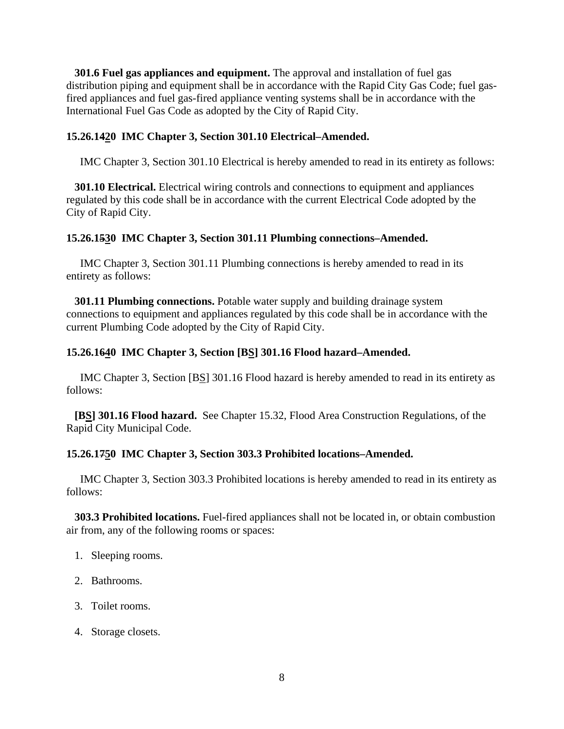**301.6 Fuel gas appliances and equipment.** The approval and installation of fuel gas distribution piping and equipment shall be in accordance with the Rapid City Gas Code; fuel gasfired appliances and fuel gas-fired appliance venting systems shall be in accordance with the International Fuel Gas Code as adopted by the City of Rapid City.

### **15.26.1420 IMC Chapter 3, Section 301.10 Electrical–Amended.**

IMC Chapter 3, Section 301.10 Electrical is hereby amended to read in its entirety as follows:

 **301.10 Electrical.** Electrical wiring controls and connections to equipment and appliances regulated by this code shall be in accordance with the current Electrical Code adopted by the City of Rapid City.

#### **15.26.1530 IMC Chapter 3, Section 301.11 Plumbing connections–Amended.**

 IMC Chapter 3, Section 301.11 Plumbing connections is hereby amended to read in its entirety as follows:

 **301.11 Plumbing connections.** Potable water supply and building drainage system connections to equipment and appliances regulated by this code shall be in accordance with the current Plumbing Code adopted by the City of Rapid City.

### **15.26.1640 IMC Chapter 3, Section [BS] 301.16 Flood hazard–Amended.**

 IMC Chapter 3, Section [BS] 301.16 Flood hazard is hereby amended to read in its entirety as follows:

 **[BS] 301.16 Flood hazard.** See Chapter 15.32, Flood Area Construction Regulations, of the Rapid City Municipal Code.

#### **15.26.1750 IMC Chapter 3, Section 303.3 Prohibited locations–Amended.**

 IMC Chapter 3, Section 303.3 Prohibited locations is hereby amended to read in its entirety as follows:

 **303.3 Prohibited locations.** Fuel-fired appliances shall not be located in, or obtain combustion air from, any of the following rooms or spaces:

- 1. Sleeping rooms.
- 2. Bathrooms.
- 3. Toilet rooms.
- 4. Storage closets.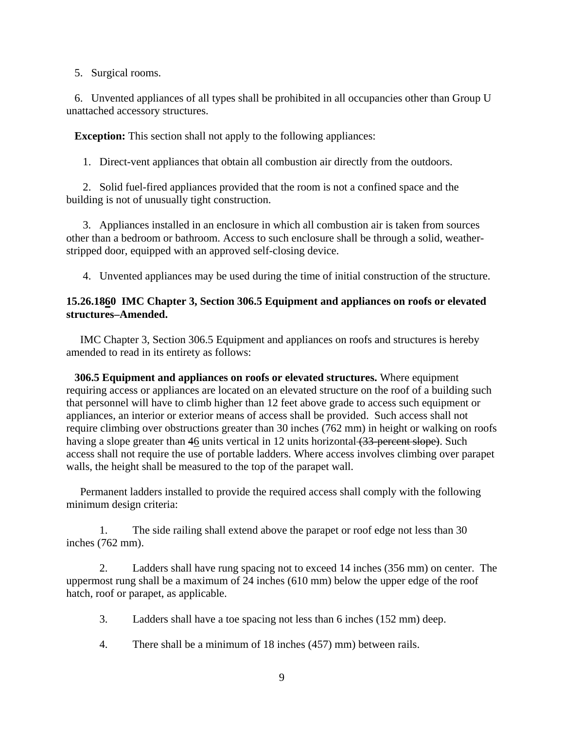5. Surgical rooms.

 6. Unvented appliances of all types shall be prohibited in all occupancies other than Group U unattached accessory structures.

**Exception:** This section shall not apply to the following appliances:

1. Direct-vent appliances that obtain all combustion air directly from the outdoors.

 2. Solid fuel-fired appliances provided that the room is not a confined space and the building is not of unusually tight construction.

 3. Appliances installed in an enclosure in which all combustion air is taken from sources other than a bedroom or bathroom. Access to such enclosure shall be through a solid, weatherstripped door, equipped with an approved self-closing device.

4. Unvented appliances may be used during the time of initial construction of the structure.

### **15.26.1860 IMC Chapter 3, Section 306.5 Equipment and appliances on roofs or elevated structures–Amended.**

 IMC Chapter 3, Section 306.5 Equipment and appliances on roofs and structures is hereby amended to read in its entirety as follows:

 **306.5 Equipment and appliances on roofs or elevated structures.** Where equipment requiring access or appliances are located on an elevated structure on the roof of a building such that personnel will have to climb higher than 12 feet above grade to access such equipment or appliances, an interior or exterior means of access shall be provided. Such access shall not require climbing over obstructions greater than 30 inches (762 mm) in height or walking on roofs having a slope greater than 46 units vertical in 12 units horizontal (33 percent slope). Such access shall not require the use of portable ladders. Where access involves climbing over parapet walls, the height shall be measured to the top of the parapet wall.

 Permanent ladders installed to provide the required access shall comply with the following minimum design criteria:

 1. The side railing shall extend above the parapet or roof edge not less than 30 inches (762 mm).

 2. Ladders shall have rung spacing not to exceed 14 inches (356 mm) on center. The uppermost rung shall be a maximum of 24 inches (610 mm) below the upper edge of the roof hatch, roof or parapet, as applicable.

- 3. Ladders shall have a toe spacing not less than 6 inches (152 mm) deep.
- 4. There shall be a minimum of 18 inches (457) mm) between rails.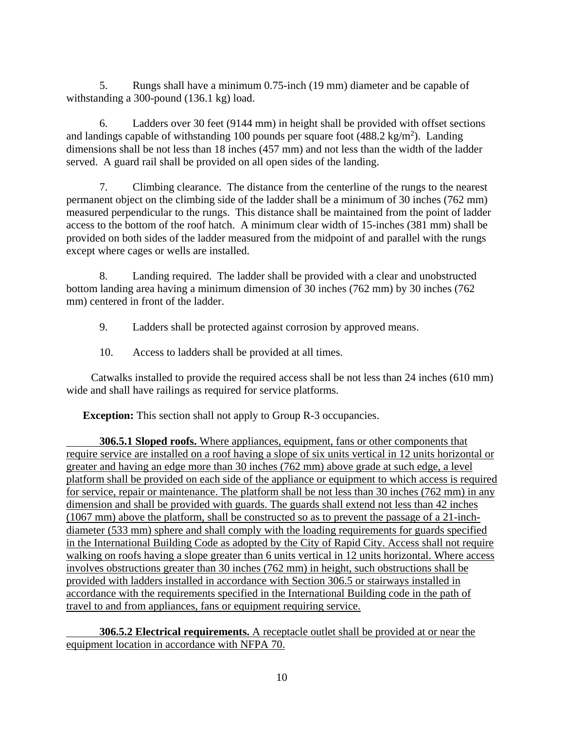5. Rungs shall have a minimum 0.75-inch (19 mm) diameter and be capable of withstanding a 300-pound (136.1 kg) load.

 6. Ladders over 30 feet (9144 mm) in height shall be provided with offset sections and landings capable of withstanding 100 pounds per square foot  $(488.2 \text{ kg/m}^2)$ . Landing dimensions shall be not less than 18 inches (457 mm) and not less than the width of the ladder served. A guard rail shall be provided on all open sides of the landing.

 7. Climbing clearance. The distance from the centerline of the rungs to the nearest permanent object on the climbing side of the ladder shall be a minimum of 30 inches (762 mm) measured perpendicular to the rungs. This distance shall be maintained from the point of ladder access to the bottom of the roof hatch. A minimum clear width of 15-inches (381 mm) shall be provided on both sides of the ladder measured from the midpoint of and parallel with the rungs except where cages or wells are installed.

 8. Landing required. The ladder shall be provided with a clear and unobstructed bottom landing area having a minimum dimension of 30 inches (762 mm) by 30 inches (762 mm) centered in front of the ladder.

9. Ladders shall be protected against corrosion by approved means.

10. Access to ladders shall be provided at all times.

 Catwalks installed to provide the required access shall be not less than 24 inches (610 mm) wide and shall have railings as required for service platforms.

**Exception:** This section shall not apply to Group R-3 occupancies.

**306.5.1 Sloped roofs.** Where appliances, equipment, fans or other components that require service are installed on a roof having a slope of six units vertical in 12 units horizontal or greater and having an edge more than 30 inches (762 mm) above grade at such edge, a level platform shall be provided on each side of the appliance or equipment to which access is required for service, repair or maintenance. The platform shall be not less than 30 inches (762 mm) in any dimension and shall be provided with guards. The guards shall extend not less than 42 inches (1067 mm) above the platform, shall be constructed so as to prevent the passage of a 21-inchdiameter (533 mm) sphere and shall comply with the loading requirements for guards specified in the International Building Code as adopted by the City of Rapid City. Access shall not require walking on roofs having a slope greater than 6 units vertical in 12 units horizontal. Where access involves obstructions greater than 30 inches (762 mm) in height, such obstructions shall be provided with ladders installed in accordance with Section 306.5 or stairways installed in accordance with the requirements specified in the International Building code in the path of travel to and from appliances, fans or equipment requiring service.

**306.5.2 Electrical requirements.** A receptacle outlet shall be provided at or near the equipment location in accordance with NFPA 70.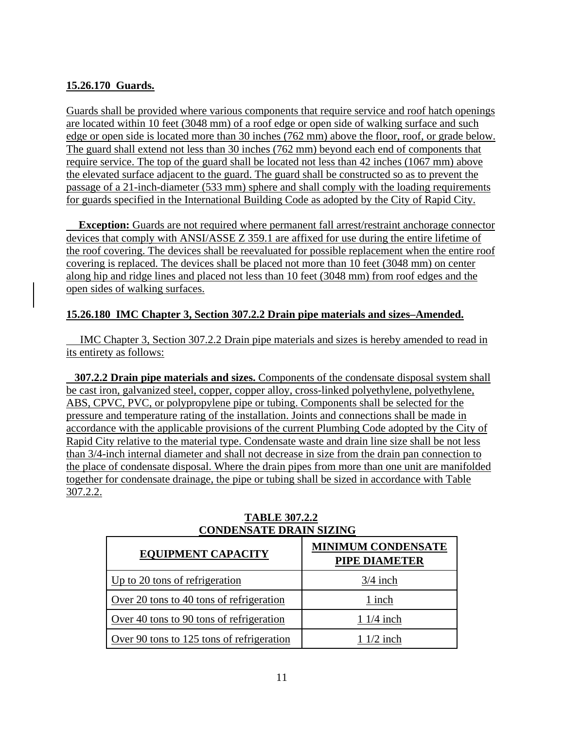# **15.26.170 Guards.**

Guards shall be provided where various components that require service and roof hatch openings are located within 10 feet (3048 mm) of a roof edge or open side of walking surface and such edge or open side is located more than 30 inches (762 mm) above the floor, roof, or grade below. The guard shall extend not less than 30 inches (762 mm) beyond each end of components that require service. The top of the guard shall be located not less than 42 inches (1067 mm) above the elevated surface adjacent to the guard. The guard shall be constructed so as to prevent the passage of a 21-inch-diameter (533 mm) sphere and shall comply with the loading requirements for guards specified in the International Building Code as adopted by the City of Rapid City.

**Exception:** Guards are not required where permanent fall arrest/restraint anchorage connector devices that comply with ANSI/ASSE Z 359.1 are affixed for use during the entire lifetime of the roof covering. The devices shall be reevaluated for possible replacement when the entire roof covering is replaced. The devices shall be placed not more than 10 feet (3048 mm) on center along hip and ridge lines and placed not less than 10 feet (3048 mm) from roof edges and the open sides of walking surfaces.

# **15.26.180 IMC Chapter 3, Section 307.2.2 Drain pipe materials and sizes–Amended.**

 IMC Chapter 3, Section 307.2.2 Drain pipe materials and sizes is hereby amended to read in its entirety as follows:

 **307.2.2 Drain pipe materials and sizes.** Components of the condensate disposal system shall be cast iron, galvanized steel, copper, copper alloy, cross-linked polyethylene, polyethylene, ABS, CPVC, PVC, or polypropylene pipe or tubing. Components shall be selected for the pressure and temperature rating of the installation. Joints and connections shall be made in accordance with the applicable provisions of the current Plumbing Code adopted by the City of Rapid City relative to the material type. Condensate waste and drain line size shall be not less than 3/4-inch internal diameter and shall not decrease in size from the drain pan connection to the place of condensate disposal. Where the drain pipes from more than one unit are manifolded together for condensate drainage, the pipe or tubing shall be sized in accordance with Table 307.2.2.

| <b>EQUIPMENT CAPACITY</b>                 | <b>MINIMUM CONDENSATE</b><br><b>PIPE DIAMETER</b> |
|-------------------------------------------|---------------------------------------------------|
| Up to 20 tons of refrigeration            | $3/4$ inch                                        |
| Over 20 tons to 40 tons of refrigeration  | 1 inch                                            |
| Over 40 tons to 90 tons of refrigeration  | $11/4$ inch                                       |
| Over 90 tons to 125 tons of refrigeration | $11/2$ inch                                       |

### **TABLE 307.2.2 CONDENSATE DRAIN SIZING**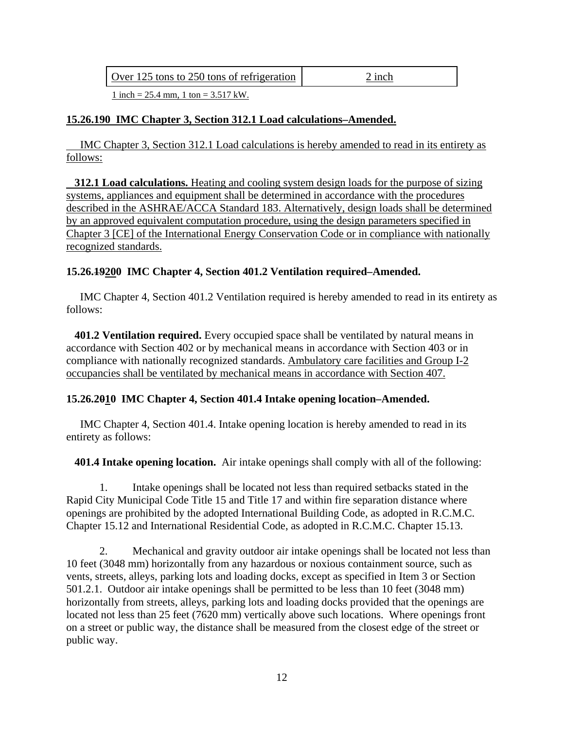| Over 125 tons to 250 tons of refrigeration | 2 inch |
|--------------------------------------------|--------|
|                                            |        |

1 inch = 25.4 mm, 1 ton = 3.517 kW.

### **15.26.190 IMC Chapter 3, Section 312.1 Load calculations–Amended.**

 IMC Chapter 3, Section 312.1 Load calculations is hereby amended to read in its entirety as follows:

 **312.1 Load calculations.** Heating and cooling system design loads for the purpose of sizing systems, appliances and equipment shall be determined in accordance with the procedures described in the ASHRAE/ACCA Standard 183. Alternatively, design loads shall be determined by an approved equivalent computation procedure, using the design parameters specified in Chapter 3 [CE] of the International Energy Conservation Code or in compliance with nationally recognized standards.

#### **15.26.19200 IMC Chapter 4, Section 401.2 Ventilation required–Amended.**

 IMC Chapter 4, Section 401.2 Ventilation required is hereby amended to read in its entirety as follows:

 **401.2 Ventilation required.** Every occupied space shall be ventilated by natural means in accordance with Section 402 or by mechanical means in accordance with Section 403 or in compliance with nationally recognized standards. Ambulatory care facilities and Group I-2 occupancies shall be ventilated by mechanical means in accordance with Section 407.

#### **15.26.2010 IMC Chapter 4, Section 401.4 Intake opening location–Amended.**

 IMC Chapter 4, Section 401.4. Intake opening location is hereby amended to read in its entirety as follows:

**401.4 Intake opening location.** Air intake openings shall comply with all of the following:

1. Intake openings shall be located not less than required setbacks stated in the Rapid City Municipal Code Title 15 and Title 17 and within fire separation distance where openings are prohibited by the adopted International Building Code, as adopted in R.C.M.C. Chapter 15.12 and International Residential Code, as adopted in R.C.M.C. Chapter 15.13.

2. Mechanical and gravity outdoor air intake openings shall be located not less than 10 feet (3048 mm) horizontally from any hazardous or noxious containment source, such as vents, streets, alleys, parking lots and loading docks, except as specified in Item 3 or Section 501.2.1. Outdoor air intake openings shall be permitted to be less than 10 feet (3048 mm) horizontally from streets, alleys, parking lots and loading docks provided that the openings are located not less than 25 feet (7620 mm) vertically above such locations. Where openings front on a street or public way, the distance shall be measured from the closest edge of the street or public way.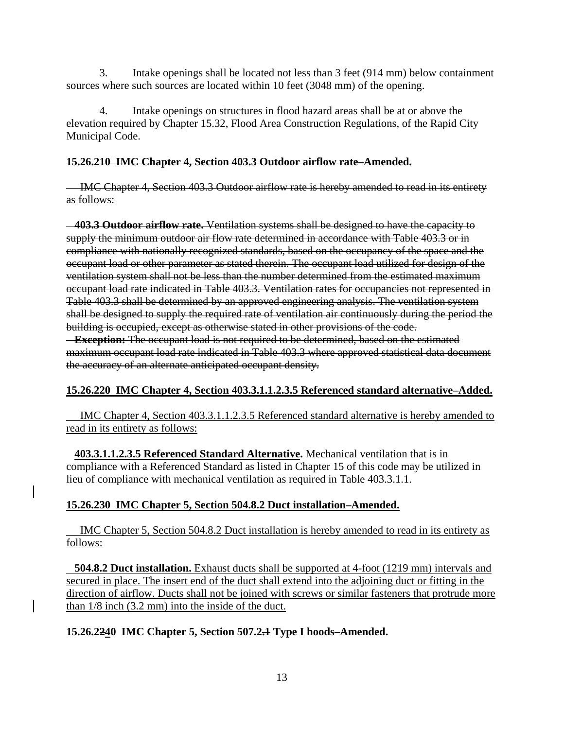3. Intake openings shall be located not less than 3 feet (914 mm) below containment sources where such sources are located within 10 feet (3048 mm) of the opening.

4. Intake openings on structures in flood hazard areas shall be at or above the elevation required by Chapter 15.32, Flood Area Construction Regulations, of the Rapid City Municipal Code.

### **15.26.210 IMC Chapter 4, Section 403.3 Outdoor airflow rate–Amended.**

 IMC Chapter 4, Section 403.3 Outdoor airflow rate is hereby amended to read in its entirety as follows:

 **403.3 Outdoor airflow rate.** Ventilation systems shall be designed to have the capacity to supply the minimum outdoor air flow rate determined in accordance with Table 403.3 or in compliance with nationally recognized standards, based on the occupancy of the space and the occupant load or other parameter as stated therein. The occupant load utilized for design of the ventilation system shall not be less than the number determined from the estimated maximum occupant load rate indicated in Table 403.3. Ventilation rates for occupancies not represented in Table 403.3 shall be determined by an approved engineering analysis. The ventilation system shall be designed to supply the required rate of ventilation air continuously during the period the building is occupied, except as otherwise stated in other provisions of the code.

 **Exception:** The occupant load is not required to be determined, based on the estimated maximum occupant load rate indicated in Table 403.3 where approved statistical data document the accuracy of an alternate anticipated occupant density.

# **15.26.220 IMC Chapter 4, Section 403.3.1.1.2.3.5 Referenced standard alternative–Added.**

 IMC Chapter 4, Section 403.3.1.1.2.3.5 Referenced standard alternative is hereby amended to read in its entirety as follows:

 **403.3.1.1.2.3.5 Referenced Standard Alternative.** Mechanical ventilation that is in compliance with a Referenced Standard as listed in Chapter 15 of this code may be utilized in lieu of compliance with mechanical ventilation as required in Table 403.3.1.1.

# **15.26.230 IMC Chapter 5, Section 504.8.2 Duct installation–Amended.**

 IMC Chapter 5, Section 504.8.2 Duct installation is hereby amended to read in its entirety as follows:

 **504.8.2 Duct installation.** Exhaust ducts shall be supported at 4-foot (1219 mm) intervals and secured in place. The insert end of the duct shall extend into the adjoining duct or fitting in the direction of airflow. Ducts shall not be joined with screws or similar fasteners that protrude more than 1/8 inch (3.2 mm) into the inside of the duct.

# **15.26.2240 IMC Chapter 5, Section 507.2.1 Type I hoods–Amended.**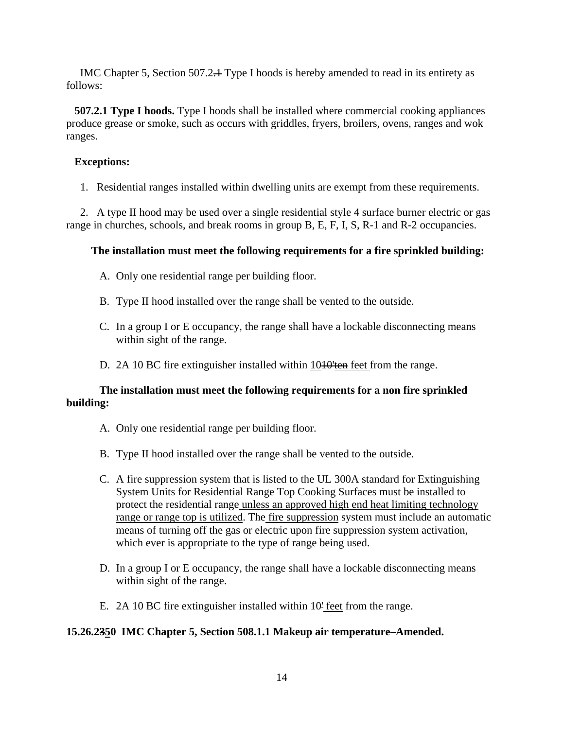IMC Chapter 5, Section 507.2.1 Type I hoods is hereby amended to read in its entirety as follows:

 **507.2.1 Type I hoods.** Type I hoods shall be installed where commercial cooking appliances produce grease or smoke, such as occurs with griddles, fryers, broilers, ovens, ranges and wok ranges.

### **Exceptions:**

1. Residential ranges installed within dwelling units are exempt from these requirements.

 2. A type II hood may be used over a single residential style 4 surface burner electric or gas range in churches, schools, and break rooms in group B, E, F, I, S, R-1 and R-2 occupancies.

# **The installation must meet the following requirements for a fire sprinkled building:**

- A. Only one residential range per building floor.
- B. Type II hood installed over the range shall be vented to the outside.
- C. In a group I or E occupancy, the range shall have a lockable disconnecting means within sight of the range.
- D. 2A 10 BC fire extinguisher installed within 10<del>10'ten</del> feet from the range.

# **The installation must meet the following requirements for a non fire sprinkled building:**

- A. Only one residential range per building floor.
- B. Type II hood installed over the range shall be vented to the outside.
- C. A fire suppression system that is listed to the UL 300A standard for Extinguishing System Units for Residential Range Top Cooking Surfaces must be installed to protect the residential range unless an approved high end heat limiting technology range or range top is utilized. The fire suppression system must include an automatic means of turning off the gas or electric upon fire suppression system activation, which ever is appropriate to the type of range being used.
- D. In a group I or E occupancy, the range shall have a lockable disconnecting means within sight of the range.
- E. 2A 10 BC fire extinguisher installed within 10' feet from the range.

# **15.26.2350 IMC Chapter 5, Section 508.1.1 Makeup air temperature–Amended.**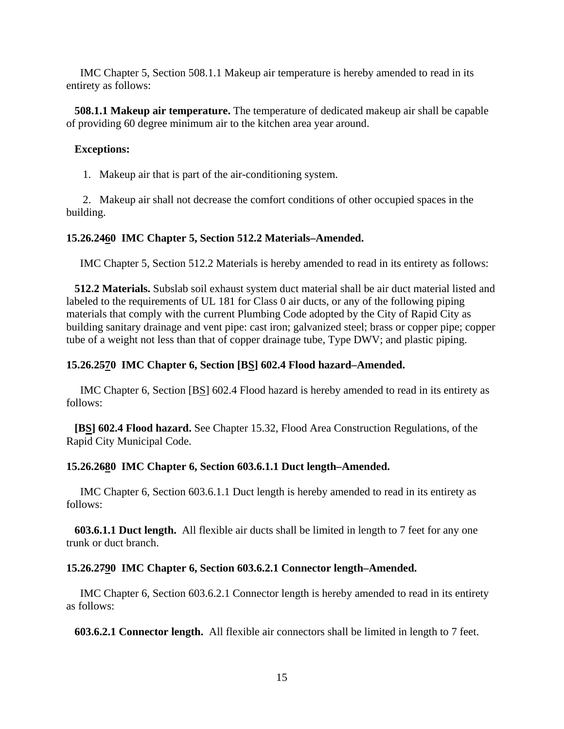IMC Chapter 5, Section 508.1.1 Makeup air temperature is hereby amended to read in its entirety as follows:

 **508.1.1 Makeup air temperature.** The temperature of dedicated makeup air shall be capable of providing 60 degree minimum air to the kitchen area year around.

#### **Exceptions:**

1. Makeup air that is part of the air-conditioning system.

 2. Makeup air shall not decrease the comfort conditions of other occupied spaces in the building.

### **15.26.2460 IMC Chapter 5, Section 512.2 Materials–Amended.**

IMC Chapter 5, Section 512.2 Materials is hereby amended to read in its entirety as follows:

 **512.2 Materials.** Subslab soil exhaust system duct material shall be air duct material listed and labeled to the requirements of UL 181 for Class 0 air ducts, or any of the following piping materials that comply with the current Plumbing Code adopted by the City of Rapid City as building sanitary drainage and vent pipe: cast iron; galvanized steel; brass or copper pipe; copper tube of a weight not less than that of copper drainage tube, Type DWV; and plastic piping.

### **15.26.2570 IMC Chapter 6, Section [BS] 602.4 Flood hazard–Amended.**

 IMC Chapter 6, Section [BS] 602.4 Flood hazard is hereby amended to read in its entirety as follows:

 **[BS] 602.4 Flood hazard.** See Chapter 15.32, Flood Area Construction Regulations, of the Rapid City Municipal Code.

#### **15.26.2680 IMC Chapter 6, Section 603.6.1.1 Duct length–Amended.**

 IMC Chapter 6, Section 603.6.1.1 Duct length is hereby amended to read in its entirety as follows:

 **603.6.1.1 Duct length.** All flexible air ducts shall be limited in length to 7 feet for any one trunk or duct branch.

#### **15.26.2790 IMC Chapter 6, Section 603.6.2.1 Connector length–Amended.**

 IMC Chapter 6, Section 603.6.2.1 Connector length is hereby amended to read in its entirety as follows:

**603.6.2.1 Connector length.** All flexible air connectors shall be limited in length to 7 feet.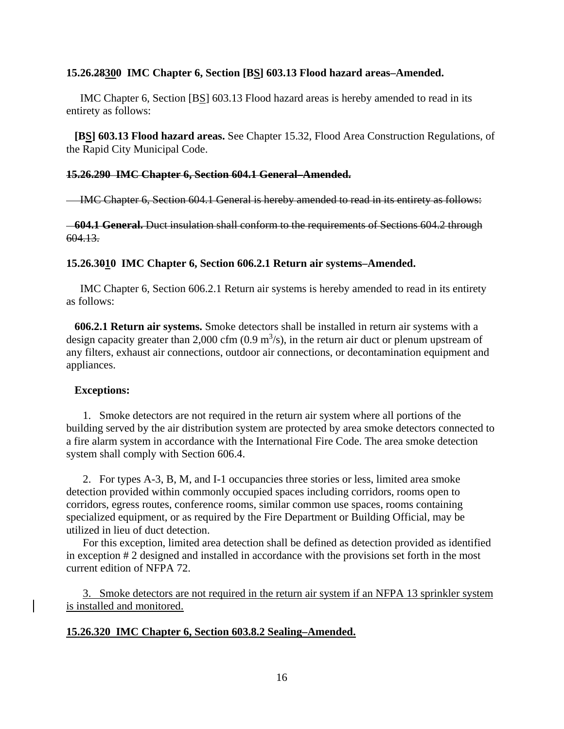#### **15.26.28300 IMC Chapter 6, Section [BS] 603.13 Flood hazard areas–Amended.**

 IMC Chapter 6, Section [BS] 603.13 Flood hazard areas is hereby amended to read in its entirety as follows:

 **[BS] 603.13 Flood hazard areas.** See Chapter 15.32, Flood Area Construction Regulations, of the Rapid City Municipal Code.

#### **15.26.290 IMC Chapter 6, Section 604.1 General–Amended.**

IMC Chapter 6, Section 604.1 General is hereby amended to read in its entirety as follows:

 **604.1 General.** Duct insulation shall conform to the requirements of Sections 604.2 through 604.13.

#### **15.26.3010 IMC Chapter 6, Section 606.2.1 Return air systems–Amended.**

 IMC Chapter 6, Section 606.2.1 Return air systems is hereby amended to read in its entirety as follows:

 **606.2.1 Return air systems.** Smoke detectors shall be installed in return air systems with a design capacity greater than 2,000 cfm  $(0.9 \text{ m}^3/\text{s})$ , in the return air duct or plenum upstream of any filters, exhaust air connections, outdoor air connections, or decontamination equipment and appliances.

#### **Exceptions:**

 1. Smoke detectors are not required in the return air system where all portions of the building served by the air distribution system are protected by area smoke detectors connected to a fire alarm system in accordance with the International Fire Code. The area smoke detection system shall comply with Section 606.4.

 2. For types A-3, B, M, and I-1 occupancies three stories or less, limited area smoke detection provided within commonly occupied spaces including corridors, rooms open to corridors, egress routes, conference rooms, similar common use spaces, rooms containing specialized equipment, or as required by the Fire Department or Building Official, may be utilized in lieu of duct detection.

 For this exception, limited area detection shall be defined as detection provided as identified in exception # 2 designed and installed in accordance with the provisions set forth in the most current edition of NFPA 72.

 3. Smoke detectors are not required in the return air system if an NFPA 13 sprinkler system is installed and monitored.

#### **15.26.320 IMC Chapter 6, Section 603.8.2 Sealing–Amended.**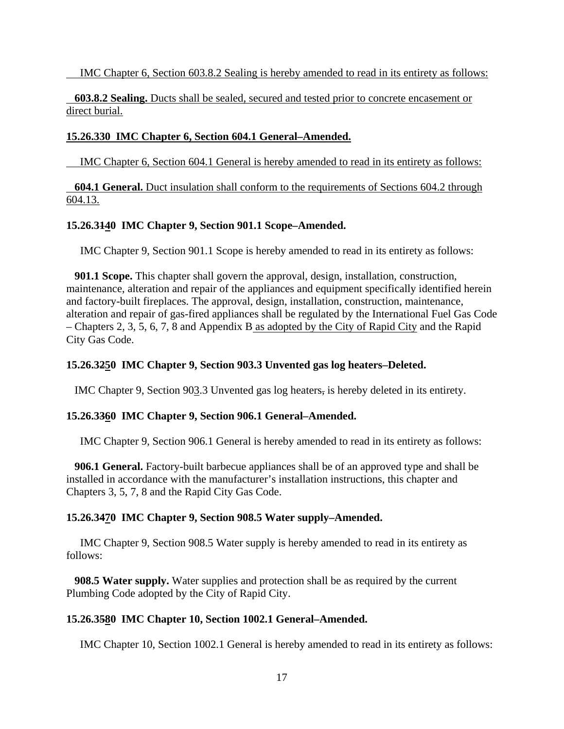IMC Chapter 6, Section 603.8.2 Sealing is hereby amended to read in its entirety as follows:

 **603.8.2 Sealing.** Ducts shall be sealed, secured and tested prior to concrete encasement or direct burial.

### **15.26.330 IMC Chapter 6, Section 604.1 General–Amended.**

IMC Chapter 6, Section 604.1 General is hereby amended to read in its entirety as follows:

 **604.1 General.** Duct insulation shall conform to the requirements of Sections 604.2 through 604.13.

### **15.26.3140 IMC Chapter 9, Section 901.1 Scope–Amended.**

IMC Chapter 9, Section 901.1 Scope is hereby amended to read in its entirety as follows:

 **901.1 Scope.** This chapter shall govern the approval, design, installation, construction, maintenance, alteration and repair of the appliances and equipment specifically identified herein and factory-built fireplaces. The approval, design, installation, construction, maintenance, alteration and repair of gas-fired appliances shall be regulated by the International Fuel Gas Code – Chapters 2, 3, 5, 6, 7, 8 and Appendix B as adopted by the City of Rapid City and the Rapid City Gas Code.

### **15.26.3250 IMC Chapter 9, Section 903.3 Unvented gas log heaters–Deleted.**

IMC Chapter 9, Section 903.3 Unvented gas log heaters, is hereby deleted in its entirety.

#### **15.26.3360 IMC Chapter 9, Section 906.1 General–Amended.**

IMC Chapter 9, Section 906.1 General is hereby amended to read in its entirety as follows:

 **906.1 General.** Factory-built barbecue appliances shall be of an approved type and shall be installed in accordance with the manufacturer's installation instructions, this chapter and Chapters 3, 5, 7, 8 and the Rapid City Gas Code.

#### **15.26.3470 IMC Chapter 9, Section 908.5 Water supply–Amended.**

 IMC Chapter 9, Section 908.5 Water supply is hereby amended to read in its entirety as follows:

 **908.5 Water supply.** Water supplies and protection shall be as required by the current Plumbing Code adopted by the City of Rapid City.

#### **15.26.3580 IMC Chapter 10, Section 1002.1 General–Amended.**

IMC Chapter 10, Section 1002.1 General is hereby amended to read in its entirety as follows: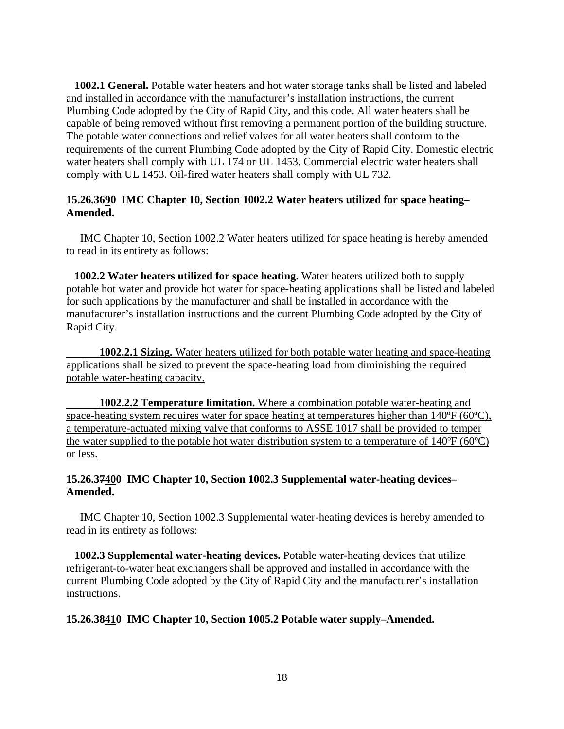**1002.1 General.** Potable water heaters and hot water storage tanks shall be listed and labeled and installed in accordance with the manufacturer's installation instructions, the current Plumbing Code adopted by the City of Rapid City, and this code. All water heaters shall be capable of being removed without first removing a permanent portion of the building structure. The potable water connections and relief valves for all water heaters shall conform to the requirements of the current Plumbing Code adopted by the City of Rapid City. Domestic electric water heaters shall comply with UL 174 or UL 1453. Commercial electric water heaters shall comply with UL 1453. Oil-fired water heaters shall comply with UL 732.

### **15.26.3690 IMC Chapter 10, Section 1002.2 Water heaters utilized for space heating– Amended.**

 IMC Chapter 10, Section 1002.2 Water heaters utilized for space heating is hereby amended to read in its entirety as follows:

 **1002.2 Water heaters utilized for space heating.** Water heaters utilized both to supply potable hot water and provide hot water for space-heating applications shall be listed and labeled for such applications by the manufacturer and shall be installed in accordance with the manufacturer's installation instructions and the current Plumbing Code adopted by the City of Rapid City.

 **1002.2.1 Sizing.** Water heaters utilized for both potable water heating and space-heating applications shall be sized to prevent the space-heating load from diminishing the required potable water-heating capacity.

 **1002.2.2 Temperature limitation.** Where a combination potable water-heating and space-heating system requires water for space heating at temperatures higher than 140°F (60°C), a temperature-actuated mixing valve that conforms to ASSE 1017 shall be provided to temper the water supplied to the potable hot water distribution system to a temperature of 140ºF (60ºC) or less.

### **15.26.37400 IMC Chapter 10, Section 1002.3 Supplemental water-heating devices– Amended.**

 IMC Chapter 10, Section 1002.3 Supplemental water-heating devices is hereby amended to read in its entirety as follows:

 **1002.3 Supplemental water-heating devices.** Potable water-heating devices that utilize refrigerant-to-water heat exchangers shall be approved and installed in accordance with the current Plumbing Code adopted by the City of Rapid City and the manufacturer's installation instructions.

#### **15.26.38410 IMC Chapter 10, Section 1005.2 Potable water supply–Amended.**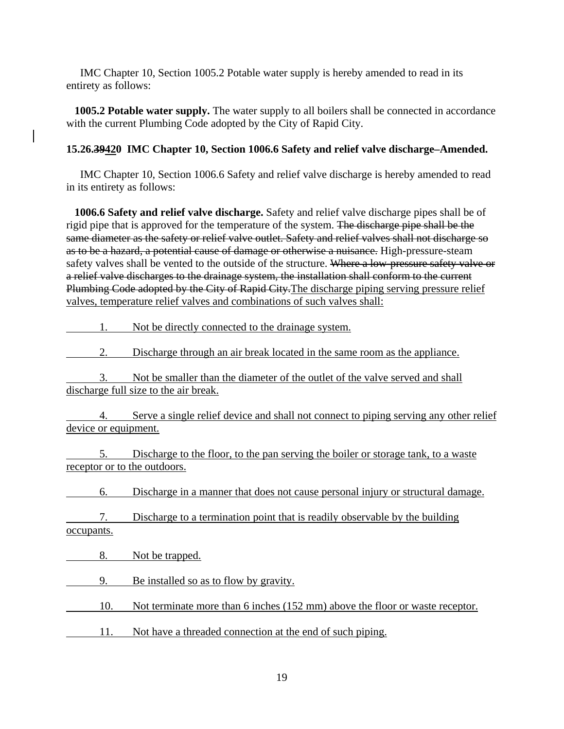IMC Chapter 10, Section 1005.2 Potable water supply is hereby amended to read in its entirety as follows:

 **1005.2 Potable water supply.** The water supply to all boilers shall be connected in accordance with the current Plumbing Code adopted by the City of Rapid City.

### **15.26.39420 IMC Chapter 10, Section 1006.6 Safety and relief valve discharge–Amended.**

 IMC Chapter 10, Section 1006.6 Safety and relief valve discharge is hereby amended to read in its entirety as follows:

 **1006.6 Safety and relief valve discharge.** Safety and relief valve discharge pipes shall be of rigid pipe that is approved for the temperature of the system. The discharge pipe shall be the same diameter as the safety or relief valve outlet. Safety and relief valves shall not discharge so as to be a hazard, a potential cause of damage or otherwise a nuisance. High-pressure-steam safety valves shall be vented to the outside of the structure. Where a low-pressure safety valve or a relief valve discharges to the drainage system, the installation shall conform to the current Plumbing Code adopted by the City of Rapid City. The discharge piping serving pressure relief valves, temperature relief valves and combinations of such valves shall:

1. Not be directly connected to the drainage system.

2. Discharge through an air break located in the same room as the appliance.

 3. Not be smaller than the diameter of the outlet of the valve served and shall discharge full size to the air break.

 4. Serve a single relief device and shall not connect to piping serving any other relief device or equipment.

 5. Discharge to the floor, to the pan serving the boiler or storage tank, to a waste receptor or to the outdoors.

6. Discharge in a manner that does not cause personal injury or structural damage.

 7. Discharge to a termination point that is readily observable by the building occupants.

8. Not be trapped.

9. Be installed so as to flow by gravity.

10. Not terminate more than 6 inches (152 mm) above the floor or waste receptor.

11. Not have a threaded connection at the end of such piping.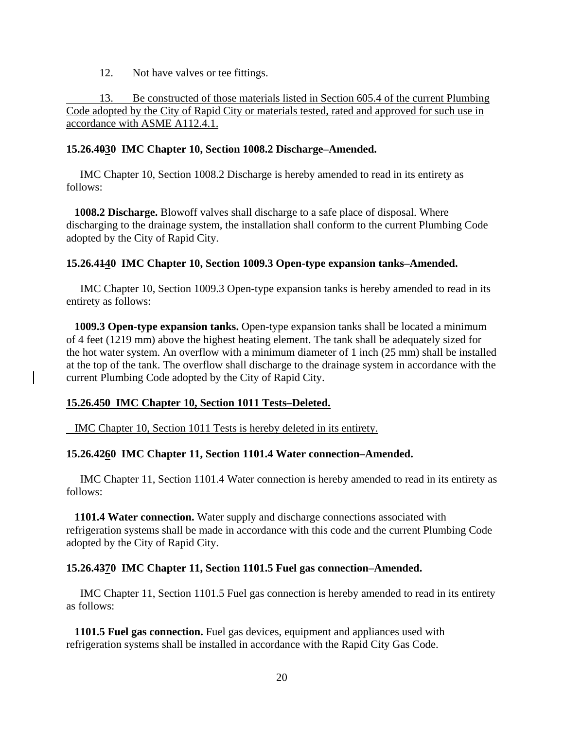12. Not have valves or tee fittings.

 13. Be constructed of those materials listed in Section 605.4 of the current Plumbing Code adopted by the City of Rapid City or materials tested, rated and approved for such use in accordance with ASME A112.4.1.

#### **15.26.4030 IMC Chapter 10, Section 1008.2 Discharge–Amended.**

 IMC Chapter 10, Section 1008.2 Discharge is hereby amended to read in its entirety as follows:

 **1008.2 Discharge.** Blowoff valves shall discharge to a safe place of disposal. Where discharging to the drainage system, the installation shall conform to the current Plumbing Code adopted by the City of Rapid City.

#### **15.26.4140 IMC Chapter 10, Section 1009.3 Open-type expansion tanks–Amended.**

 IMC Chapter 10, Section 1009.3 Open-type expansion tanks is hereby amended to read in its entirety as follows:

 **1009.3 Open-type expansion tanks.** Open-type expansion tanks shall be located a minimum of 4 feet (1219 mm) above the highest heating element. The tank shall be adequately sized for the hot water system. An overflow with a minimum diameter of 1 inch (25 mm) shall be installed at the top of the tank. The overflow shall discharge to the drainage system in accordance with the current Plumbing Code adopted by the City of Rapid City.

#### **15.26.450 IMC Chapter 10, Section 1011 Tests–Deleted.**

IMC Chapter 10, Section 1011 Tests is hereby deleted in its entirety.

#### **15.26.4260 IMC Chapter 11, Section 1101.4 Water connection–Amended.**

 IMC Chapter 11, Section 1101.4 Water connection is hereby amended to read in its entirety as follows:

 **1101.4 Water connection.** Water supply and discharge connections associated with refrigeration systems shall be made in accordance with this code and the current Plumbing Code adopted by the City of Rapid City.

#### **15.26.4370 IMC Chapter 11, Section 1101.5 Fuel gas connection–Amended.**

 IMC Chapter 11, Section 1101.5 Fuel gas connection is hereby amended to read in its entirety as follows:

 **1101.5 Fuel gas connection.** Fuel gas devices, equipment and appliances used with refrigeration systems shall be installed in accordance with the Rapid City Gas Code.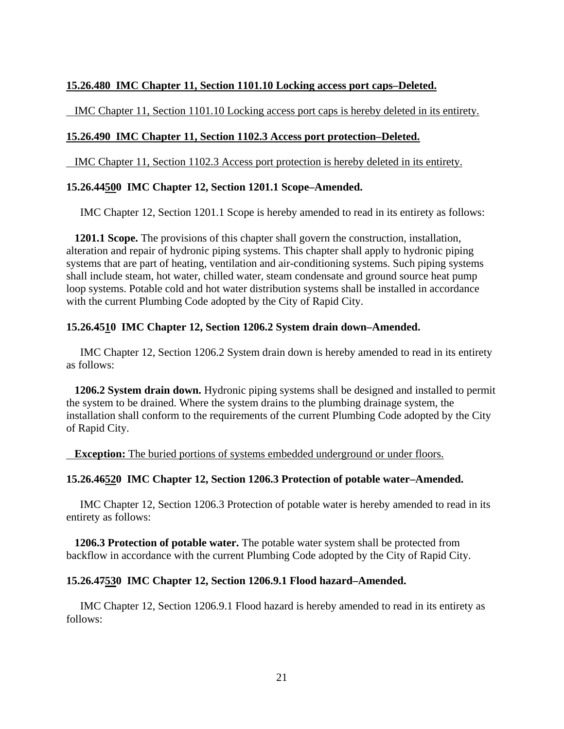### **15.26.480 IMC Chapter 11, Section 1101.10 Locking access port caps–Deleted.**

IMC Chapter 11, Section 1101.10 Locking access port caps is hereby deleted in its entirety.

#### **15.26.490 IMC Chapter 11, Section 1102.3 Access port protection–Deleted.**

IMC Chapter 11, Section 1102.3 Access port protection is hereby deleted in its entirety.

#### **15.26.44500 IMC Chapter 12, Section 1201.1 Scope–Amended.**

IMC Chapter 12, Section 1201.1 Scope is hereby amended to read in its entirety as follows:

 **1201.1 Scope.** The provisions of this chapter shall govern the construction, installation, alteration and repair of hydronic piping systems. This chapter shall apply to hydronic piping systems that are part of heating, ventilation and air-conditioning systems. Such piping systems shall include steam, hot water, chilled water, steam condensate and ground source heat pump loop systems. Potable cold and hot water distribution systems shall be installed in accordance with the current Plumbing Code adopted by the City of Rapid City.

#### **15.26.4510 IMC Chapter 12, Section 1206.2 System drain down–Amended.**

 IMC Chapter 12, Section 1206.2 System drain down is hereby amended to read in its entirety as follows:

 **1206.2 System drain down.** Hydronic piping systems shall be designed and installed to permit the system to be drained. Where the system drains to the plumbing drainage system, the installation shall conform to the requirements of the current Plumbing Code adopted by the City of Rapid City.

**Exception:** The buried portions of systems embedded underground or under floors.

#### **15.26.46520 IMC Chapter 12, Section 1206.3 Protection of potable water–Amended.**

 IMC Chapter 12, Section 1206.3 Protection of potable water is hereby amended to read in its entirety as follows:

 **1206.3 Protection of potable water.** The potable water system shall be protected from backflow in accordance with the current Plumbing Code adopted by the City of Rapid City.

#### **15.26.47530 IMC Chapter 12, Section 1206.9.1 Flood hazard–Amended.**

 IMC Chapter 12, Section 1206.9.1 Flood hazard is hereby amended to read in its entirety as follows: